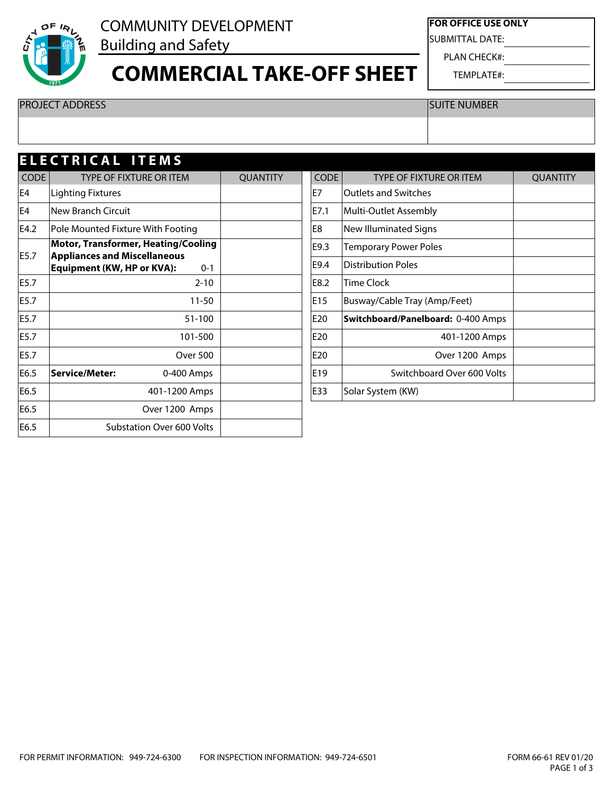

#### COMMUNITY DEVELOPMENT Building and Safety

### **COMMERCIAL TAKE-OFF SHEET**

**FOR OFFICE USE ONLY**

SUBMITTAL DATE:

PLAN CHECK#:

TEMPLATE#:

PROJECT ADDRESS SUITE NUMBER

| <b>ELECTRICAL ITEMS</b> |                                                                                     |                 |             |                                    |                 |  |  |  |  |
|-------------------------|-------------------------------------------------------------------------------------|-----------------|-------------|------------------------------------|-----------------|--|--|--|--|
| <b>CODE</b>             | <b>TYPE OF FIXTURE OR ITEM</b>                                                      | <b>QUANTITY</b> | <b>CODE</b> | <b>TYPE OF FIXTURE OR ITEM</b>     | <b>QUANTITY</b> |  |  |  |  |
| E4                      | <b>Lighting Fixtures</b>                                                            |                 | lE7         | Outlets and Switches               |                 |  |  |  |  |
| E4                      | New Branch Circuit                                                                  |                 | E7.1        | Multi-Outlet Assembly              |                 |  |  |  |  |
| E4.2                    | Pole Mounted Fixture With Footing                                                   |                 | E8          | New Illuminated Signs              |                 |  |  |  |  |
|                         | <b>Motor, Transformer, Heating/Cooling</b>                                          |                 | E9.3        | <b>Temporary Power Poles</b>       |                 |  |  |  |  |
| E5.7                    | <b>Appliances and Miscellaneous</b><br><b>Equipment (KW, HP or KVA):</b><br>$0 - 1$ |                 | E9.4        | Distribution Poles                 |                 |  |  |  |  |
| E5.7                    | $2 - 10$                                                                            |                 | E8.2        | <b>Time Clock</b>                  |                 |  |  |  |  |
| E5.7                    | $11 - 50$                                                                           |                 | E15         | Busway/Cable Tray (Amp/Feet)       |                 |  |  |  |  |
| E5.7                    | 51-100                                                                              |                 | E20         | Switchboard/Panelboard: 0-400 Amps |                 |  |  |  |  |
| E5.7                    | 101-500                                                                             |                 | E20         | 401-1200 Amps                      |                 |  |  |  |  |
| E5.7                    | <b>Over 500</b>                                                                     |                 | E20         | Over 1200 Amps                     |                 |  |  |  |  |
| E6.5                    | Service/Meter:<br>0-400 Amps                                                        |                 | E19         | Switchboard Over 600 Volts         |                 |  |  |  |  |
| E6.5                    | 401-1200 Amps                                                                       |                 | E33         | Solar System (KW)                  |                 |  |  |  |  |
| E6.5                    | Over 1200 Amps                                                                      |                 |             |                                    |                 |  |  |  |  |
| E6.5                    | Substation Over 600 Volts                                                           |                 |             |                                    |                 |  |  |  |  |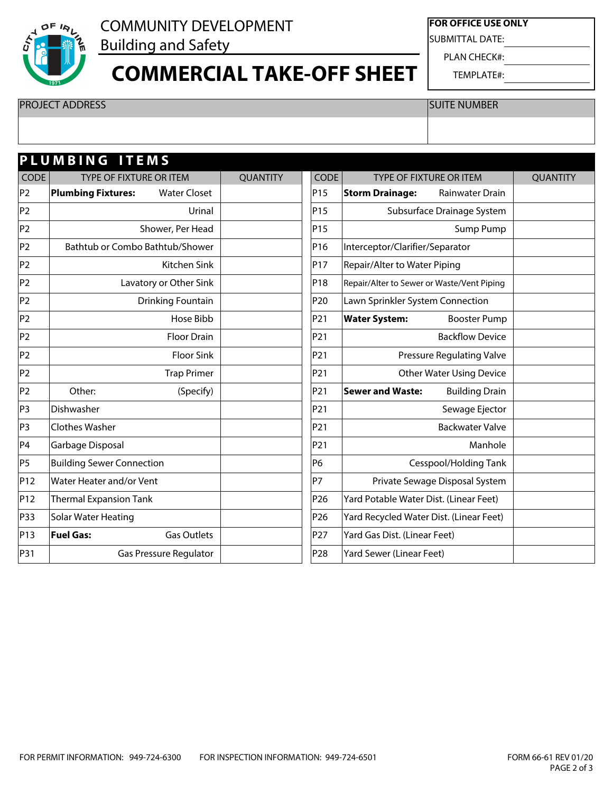

# COMMUNITY DEVELOPMENT

Building and Safety

### **COMMERCIAL TAKE-OFF SHEET**

**FOR OFFICE USE ONLY**

SUBMITTAL DATE:

PLAN CHECK#:

TEMPLATE#:

PROJECT ADDRESS SUITE NUMBER

| PLUMBING ITEMS |                                                  |                 |                 |                                                  |                 |  |  |  |
|----------------|--------------------------------------------------|-----------------|-----------------|--------------------------------------------------|-----------------|--|--|--|
| CODE           | TYPE OF FIXTURE OR ITEM                          | <b>QUANTITY</b> | <b>CODE</b>     | TYPE OF FIXTURE OR ITEM                          | <b>QUANTITY</b> |  |  |  |
| P2             | <b>Plumbing Fixtures:</b><br><b>Water Closet</b> |                 | P15             | <b>Storm Drainage:</b><br>Rainwater Drain        |                 |  |  |  |
| P2             | Urinal                                           |                 | P <sub>15</sub> | Subsurface Drainage System                       |                 |  |  |  |
| P2             | Shower, Per Head                                 |                 | P15             | Sump Pump                                        |                 |  |  |  |
| P2             | Bathtub or Combo Bathtub/Shower                  |                 | P16             | Interceptor/Clarifier/Separator                  |                 |  |  |  |
| P2             | Kitchen Sink                                     |                 | P17             | Repair/Alter to Water Piping                     |                 |  |  |  |
| P2             | Lavatory or Other Sink                           |                 | P18             | Repair/Alter to Sewer or Waste/Vent Piping       |                 |  |  |  |
| P2             | Drinking Fountain                                |                 | P <sub>20</sub> | Lawn Sprinkler System Connection                 |                 |  |  |  |
| P2             | Hose Bibb                                        |                 | P <sub>21</sub> | <b>Water System:</b><br><b>Booster Pump</b>      |                 |  |  |  |
| P2             | <b>Floor Drain</b>                               |                 | P <sub>21</sub> | <b>Backflow Device</b>                           |                 |  |  |  |
| P2             | <b>Floor Sink</b>                                |                 | P21             | <b>Pressure Regulating Valve</b>                 |                 |  |  |  |
| P2             | <b>Trap Primer</b>                               |                 | P21             | <b>Other Water Using Device</b>                  |                 |  |  |  |
| P2             | Other:<br>(Specify)                              |                 | P21             | <b>Building Drain</b><br><b>Sewer and Waste:</b> |                 |  |  |  |
| P3             | Dishwasher                                       |                 | P21             | Sewage Ejector                                   |                 |  |  |  |
| P3             | Clothes Washer                                   |                 | P21             | <b>Backwater Valve</b>                           |                 |  |  |  |
| P4             | Garbage Disposal                                 |                 | P21             | Manhole                                          |                 |  |  |  |
| P5             | <b>Building Sewer Connection</b>                 |                 | P6              | Cesspool/Holding Tank                            |                 |  |  |  |
| P12            | Water Heater and/or Vent                         |                 | lP7             | Private Sewage Disposal System                   |                 |  |  |  |
| P12            | <b>Thermal Expansion Tank</b>                    |                 | P <sub>26</sub> | Yard Potable Water Dist. (Linear Feet)           |                 |  |  |  |
| P33            | Solar Water Heating                              |                 | P <sub>26</sub> | Yard Recycled Water Dist. (Linear Feet)          |                 |  |  |  |
| P13            | <b>Fuel Gas:</b><br><b>Gas Outlets</b>           |                 | P <sub>27</sub> | Yard Gas Dist. (Linear Feet)                     |                 |  |  |  |
| P31            | Gas Pressure Regulator                           |                 | P <sub>28</sub> | Yard Sewer (Linear Feet)                         |                 |  |  |  |